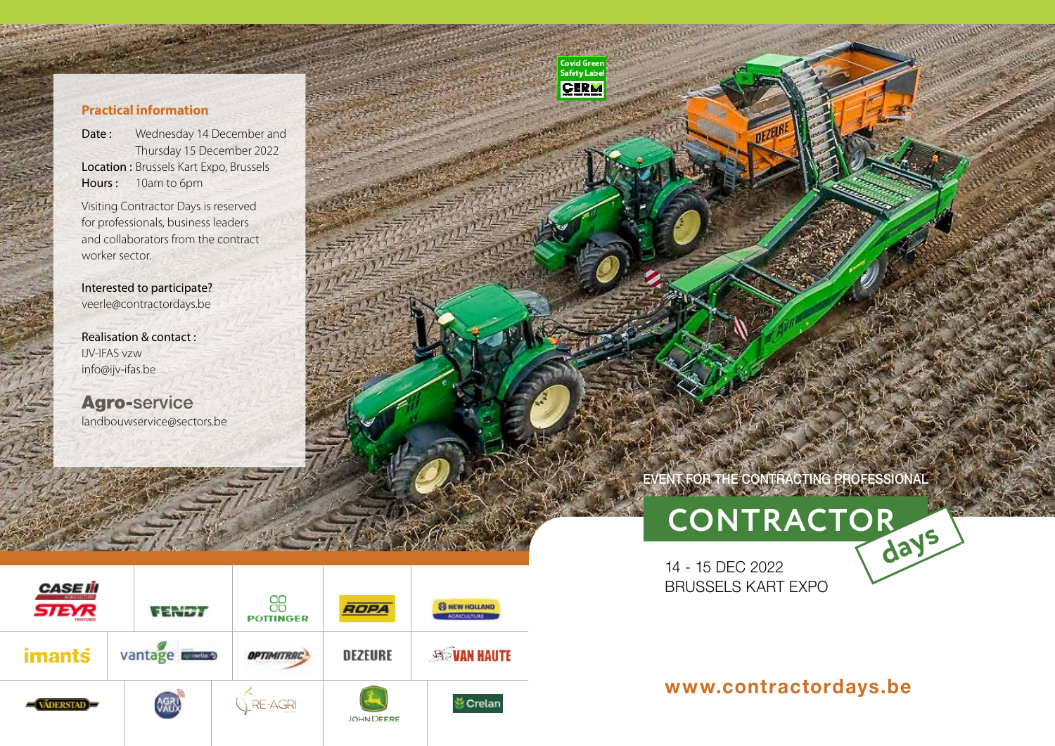#### **Practical information**

Date : Wednesday 14 December and Thursday 15 December 2022 Location : Brussels Kart Expo, Brussels Hours : 10am to 6pm

Visiting Contractor Days is reserved for professionals, business leaders and collaborators from the contract worker sector.

Interested to participate? veerle@contractordays.be

Realisation & contact : IJV-IFAS vzw info@ijv-ifas.be

landbouwservice@sectors.be Agro-service



www.com

Contact in the Contact of the Contact of the Contact of the Contact of the Contact of the Contact of the Contact of the Contact of the Contact of the Contact of the Contact of the Contact of the Contact of the Contact of t

Germany Germany Communications in de

**Covid Green**<br>Safety Label **CERM** 

## EVENT FOR THE CONTRACTING PROFESSIONAL

**CONTRACTORdays**

Vakevent voor loonwerkers

Vakevent voor loonwerkers

Evénement professionnel pour les entrepreneurs agricoles

Evénement professionnel pour les entrepreneurs agricoles

# **CONTRACTORdays**

14 - 15 DEC 2022 BRUSSELS KART EXPO

### www.contractordays.be